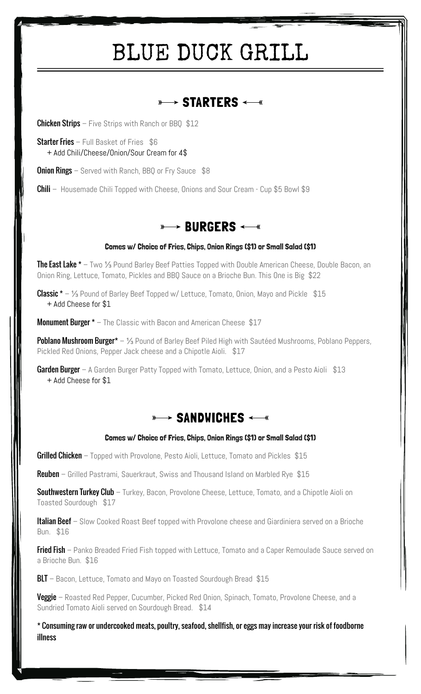# BLUE DUCK GRILL

## $\overline{\ast\rightarrow}$  starters  $\overline{\ast\rightarrow}$

**Chicken Strips** – Five Strips with Ranch or BBQ  $$12$ 

Starter Fries - Full Basket of Fries \$6 + Add Chili/Cheese/Onion/Sour Cream for 4\$

**Onion Rings** – Served with Ranch, BBQ or Fry Sauce \$8

**Chili** – Housemade Chili Topped with Cheese, Onions and Sour Cream - Cup \$5 Bowl \$9

## **BURGERS**

#### Comes w/ Choice of Fries, Chips, Onion Rings (\$1) or Small Salad (\$1)

**The East Lake \*** — Two ⅓ Pound Barley Beef Patties Topped with Double American Cheese, Double Bacon, an Onion Ring, Lettuce, Tomato, Pickles and BBQ Sauce on a Brioche Bun. This One is Big \$22

**Classic \*** – 1⁄3 Pound of Barley Beef Topped w/ Lettuce, Tomato, Onion, Mayo and Pickle  $$15$ + Add Cheese for \$1

**Monument Burger \*** – The Classic with Bacon and American Cheese \$17

Poblano Mushroom Burger<sup>\*</sup> – 1⁄3 Pound of Barley Beef Piled High with Sautéed Mushrooms, Poblano Peppers, Pickled Red Onions, Pepper Jack cheese and a Chipotle Aioli. \$17

**Garden Burger** – A Garden Burger Patty Topped with Tomato, Lettuce, Onion, and a Pesto Aioli \$13 + Add Cheese for \$1



#### Comes w/ Choice of Fries, Chips, Onion Rings (\$1) or Small Salad (\$1)

Grilled Chicken – Topped with Provolone, Pesto Aioli, Lettuce, Tomato and Pickles \$15

**Reuben** – Grilled Pastrami, Sauerkraut, Swiss and Thousand Island on Marbled Rye \$15

**Southwestern Turkey Club** – Turkey, Bacon, Provolone Cheese, Lettuce, Tomato, and a Chipotle Aioli on Toasted Sourdough \$17

**Italian Beef** – Slow Cooked Roast Beef topped with Provolone cheese and Giardiniera served on a Brioche Bun. \$16

**Fried Fish** – Panko Breaded Fried Fish topped with Lettuce, Tomato and a Caper Remoulade Sauce served on a Brioche Bun. \$16

**BLT** – Bacon, Lettuce, Tomato and Mayo on Toasted Sourdough Bread \$15

**Veggie** – Roasted Red Pepper, Cucumber, Picked Red Onion, Spinach, Tomato, Provolone Cheese, and a Sundried Tomato Aioli served on Sourdough Bread. \$14

\* Consuming raw or undercooked meats, poultry, seafood, shellfish, or eggs may increase your risk of foodborne illness